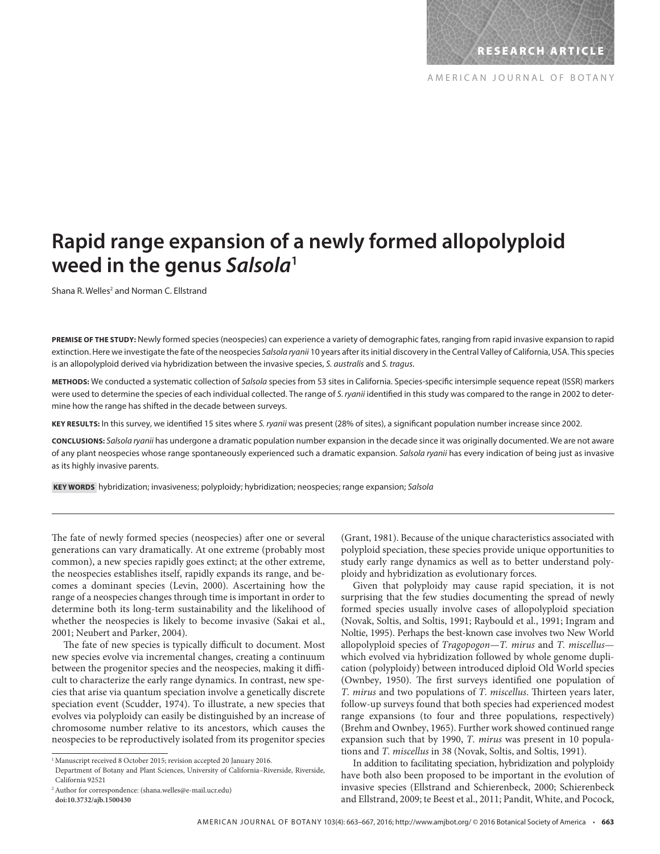# **Rapid range expansion of a newly formed allopolyploid weed in the genus Salsola<sup>1</sup>**

Shana R. Welles<sup>2</sup> and Norman C. Ellstrand

**PREMISE OF THE STUDY:** Newly formed species (neospecies) can experience a variety of demographic fates, ranging from rapid invasive expansion to rapid extinction. Here we investigate the fate of the neospecies Salsola ryanii 10 years after its initial discovery in the Central Valley of California, USA. This species is an allopolyploid derived via hybridization between the invasive species, S. australis and S. tragus.

METHODS: We conducted a systematic collection of Salsola species from 53 sites in California. Species-specific intersimple sequence repeat (ISSR) markers were used to determine the species of each individual collected. The range of S. ryanii identified in this study was compared to the range in 2002 to determine how the range has shifted in the decade between surveys.

KEY RESULTS: In this survey, we identified 15 sites where S. ryanii was present (28% of sites), a significant population number increase since 2002.

**CONCLUSIONS:** Salsola ryanii has undergone a dramatic population number expansion in the decade since it was originally documented. We are not aware of any plant neospecies whose range spontaneously experienced such a dramatic expansion. Salsola ryanii has every indication of being just as invasive as its highly invasive parents.

 **KEY WORDS** hybridization; invasiveness; polyploidy; hybridization; neospecies; range expansion; Salsola

The fate of newly formed species (neospecies) after one or several generations can vary dramatically. At one extreme (probably most common), a new species rapidly goes extinct; at the other extreme, the neospecies establishes itself, rapidly expands its range, and becomes a dominant species (Levin, 2000). Ascertaining how the range of a neospecies changes through time is important in order to determine both its long-term sustainability and the likelihood of whether the neospecies is likely to become invasive (Sakai et al., 2001; Neubert and Parker, 2004).

The fate of new species is typically difficult to document. Most new species evolve via incremental changes, creating a continuum between the progenitor species and the neospecies, making it difficult to characterize the early range dynamics. In contrast, new species that arise via quantum speciation involve a genetically discrete speciation event (Scudder, 1974). To illustrate, a new species that evolves via polyploidy can easily be distinguished by an increase of chromosome number relative to its ancestors, which causes the neospecies to be reproductively isolated from its progenitor species

(Grant, 1981). Because of the unique characteristics associated with polyploid speciation, these species provide unique opportunities to study early range dynamics as well as to better understand polyploidy and hybridization as evolutionary forces.

 Given that polyploidy may cause rapid speciation, it is not surprising that the few studies documenting the spread of newly formed species usually involve cases of allopolyploid speciation (Novak, Soltis, and Soltis, 1991; Raybould et al., 1991; Ingram and Noltie, 1995). Perhaps the best-known case involves two New World allopolyploid species of *Tragopogon* — *T. mirus* and *T. miscellus* which evolved via hybridization followed by whole genome duplication (polyploidy) between introduced diploid Old World species (Ownbey, 1950). The first surveys identified one population of *T. mirus* and two populations of *T. miscellus*. Thirteen years later, follow-up surveys found that both species had experienced modest range expansions (to four and three populations, respectively) (Brehm and Ownbey, 1965). Further work showed continued range expansion such that by 1990, *T. mirus* was present in 10 populations and *T. miscellus* in 38 ( Novak, Soltis, and Soltis, 1991 ).

 In addition to facilitating speciation, hybridization and polyploidy have both also been proposed to be important in the evolution of invasive species (Ellstrand and Schierenbeck, 2000; Schierenbeck and Ellstrand, 2009; te Beest et al., 2011; Pandit, White, and Pocock,

<sup>&</sup>lt;sup>1</sup> Manuscript received 8 October 2015; revision accepted 20 January 2016.

Department of Botany and Plant Sciences, University of California–Riverside, Riverside, California 92521

<sup>2</sup> Author for correspondence: (shana.welles@e-mail.ucr.edu)  **doi:10.3732/ajb.1500430**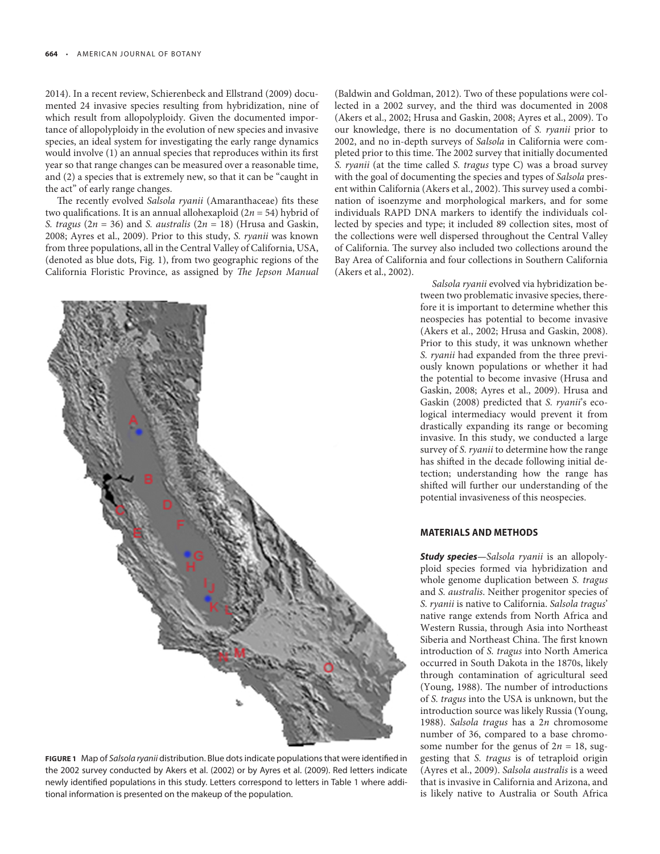2014). In a recent review, Schierenbeck and Ellstrand (2009) documented 24 invasive species resulting from hybridization, nine of which result from allopolyploidy. Given the documented importance of allopolyploidy in the evolution of new species and invasive species, an ideal system for investigating the early range dynamics would involve (1) an annual species that reproduces within its first year so that range changes can be measured over a reasonable time, and (2) a species that is extremely new, so that it can be "caught in the act" of early range changes.

The recently evolved Salsola ryanii (Amaranthaceae) fits these two qualifications. It is an annual allohexaploid  $(2n = 54)$  hybrid of *S. tragus* ( $2n = 36$ ) and *S. australis* ( $2n = 18$ ) (Hrusa and Gaskin, 2008; Ayres et al., 2009). Prior to this study, *S. ryanii* was known from three populations, all in the Central Valley of California, USA, (denoted as blue dots, Fig. 1 ), from two geographic regions of the California Floristic Province, as assigned by *The Jepson Manual* 



FIGURE 1 Map of Salsola ryanii distribution. Blue dots indicate populations that were identified in the 2002 survey conducted by Akers et al. (2002) or by Ayres et al. (2009). Red letters indicate newly identified populations in this study. Letters correspond to letters in Table 1 where additional information is presented on the makeup of the population.

(Baldwin and Goldman, 2012). Two of these populations were collected in a 2002 survey, and the third was documented in 2008 (Akers et al., 2002; Hrusa and Gaskin, 2008; Ayres et al., 2009). To our knowledge, there is no documentation of *S. ryanii* prior to 2002, and no in-depth surveys of *Salsola* in California were completed prior to this time. The 2002 survey that initially documented *S. ryanii* (at the time called *S. tragus* type C) was a broad survey with the goal of documenting the species and types of *Salsola* present within California (Akers et al., 2002). This survey used a combination of isoenzyme and morphological markers, and for some individuals RAPD DNA markers to identify the individuals collected by species and type; it included 89 collection sites, most of the collections were well dispersed throughout the Central Valley of California. The survey also included two collections around the Bay Area of California and four collections in Southern California (Akers et al., 2002).

> *Salsola ryanii* evolved via hybridization between two problematic invasive species, therefore it is important to determine whether this neospecies has potential to become invasive (Akers et al., 2002; Hrusa and Gaskin, 2008). Prior to this study, it was unknown whether *S. ryanii* had expanded from the three previously known populations or whether it had the potential to become invasive (Hrusa and Gaskin, 2008; Ayres et al., 2009). Hrusa and Gaskin (2008) predicted that *S. ryanii's* ecological intermediacy would prevent it from drastically expanding its range or becoming invasive. In this study, we conducted a large survey of *S. ryanii* to determine how the range has shifted in the decade following initial detection; understanding how the range has shifted will further our understanding of the potential invasiveness of this neospecies.

### **MATERIALS AND METHODS**

**Study species** *—Salsola ryanii* is an allopolyploid species formed via hybridization and whole genome duplication between *S. tragus* and *S. australis* . Neither progenitor species of *S. ryanii* is native to California. *Salsola tragus* ' native range extends from North Africa and Western Russia, through Asia into Northeast Siberia and Northeast China. The first known introduction of *S. tragus* into North America occurred in South Dakota in the 1870s, likely through contamination of agricultural seed (Young, 1988). The number of introductions of *S. tragus* into the USA is unknown, but the introduction source was likely Russia (Young, 1988). *Salsola tragus* has a 2n chromosome number of 36, compared to a base chromosome number for the genus of  $2n = 18$ , suggesting that *S. tragus* is of tetraploid origin ( Ayres et al., 2009 ). *Salsola australis* is a weed that is invasive in California and Arizona, and is likely native to Australia or South Africa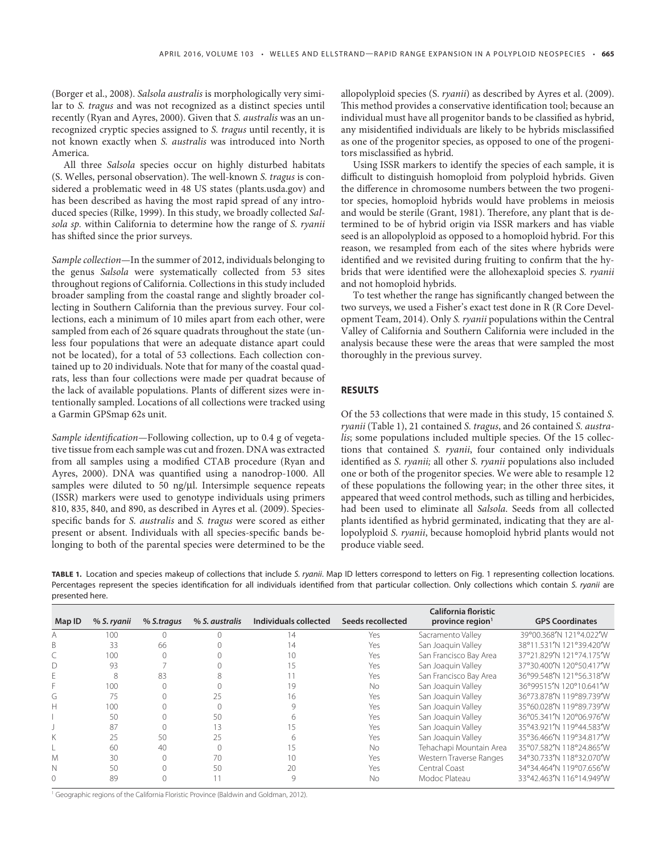( Borger et al., 2008 ). *Salsola australis* is morphologically very similar to *S. tragus* and was not recognized as a distinct species until recently (Ryan and Ayres, 2000). Given that *S. australis* was an unrecognized cryptic species assigned to *S. tragus* until recently, it is not known exactly when *S. australis* was introduced into North America.

 All three *Salsola* species occur on highly disturbed habitats (S. Welles, personal observation). The well-known *S. tragus* is considered a problematic weed in 48 US states (plants.usda.gov) and has been described as having the most rapid spread of any introduced species ( Rilke, 1999 ). In this study, we broadly collected *Salsola sp.* within California to determine how the range of *S. ryanii* has shifted since the prior surveys.

*Sample collection—* In the summer of 2012, individuals belonging to the genus *Salsola* were systematically collected from 53 sites throughout regions of California. Collections in this study included broader sampling from the coastal range and slightly broader collecting in Southern California than the previous survey. Four collections, each a minimum of 10 miles apart from each other, were sampled from each of 26 square quadrats throughout the state (unless four populations that were an adequate distance apart could not be located), for a total of 53 collections. Each collection contained up to 20 individuals. Note that for many of the coastal quadrats, less than four collections were made per quadrat because of the lack of available populations. Plants of different sizes were intentionally sampled. Locations of all collections were tracked using a Garmin GPSmap 62s unit.

*Sample identification—Following collection, up to 0.4 g of vegeta*tive tissue from each sample was cut and frozen. DNA was extracted from all samples using a modified CTAB procedure (Ryan and Ayres, 2000). DNA was quantified using a nanodrop-1000. All samples were diluted to 50 ng/ $\mu$ l. Intersimple sequence repeats (ISSR) markers were used to genotype individuals using primers 810, 835, 840, and 890, as described in Ayres et al. (2009 ). Speciesspecific bands for *S. australis* and *S. tragus* were scored as either present or absent. Individuals with all species-specific bands belonging to both of the parental species were determined to be the allopolyploid species (S. *ryanii* ) as described by Ayres et al. (2009 ). This method provides a conservative identification tool; because an individual must have all progenitor bands to be classified as hybrid, any misidentified individuals are likely to be hybrids misclassified as one of the progenitor species, as opposed to one of the progenitors misclassified as hybrid.

 Using ISSR markers to identify the species of each sample, it is difficult to distinguish homoploid from polyploid hybrids. Given the difference in chromosome numbers between the two progenitor species, homoploid hybrids would have problems in meiosis and would be sterile (Grant, 1981). Therefore, any plant that is determined to be of hybrid origin via ISSR markers and has viable seed is an allopolyploid as opposed to a homoploid hybrid. For this reason, we resampled from each of the sites where hybrids were identified and we revisited during fruiting to confirm that the hybrids that were identified were the allohexaploid species *S. ryanii* and not homoploid hybrids.

To test whether the range has significantly changed between the two surveys, we used a Fisher's exact test done in R (R Core Development Team, 2014 ). Only *S. ryanii* populations within the Central Valley of California and Southern California were included in the analysis because these were the areas that were sampled the most thoroughly in the previous survey.

## **RESULTS**

 Of the 53 collections that were made in this study, 15 contained *S. ryanii* (Table 1), 21 contained *S. tragus*, and 26 contained *S. australis*; some populations included multiple species. Of the 15 collections that contained *S. ryanii* , four contained only individuals identified as *S. ryanii*; all other *S. ryanii* populations also included one or both of the progenitor species. We were able to resample 12 of these populations the following year; in the other three sites, it appeared that weed control methods, such as tilling and herbicides, had been used to eliminate all *Salsola* . Seeds from all collected plants identified as hybrid germinated, indicating that they are allopolyploid *S. ryanii* , because homoploid hybrid plants would not produce viable seed.

TABLE 1. Location and species makeup of collections that include S. ryanii. Map ID letters correspond to letters on Fig. 1 representing collection locations. Percentages represent the species identification for all individuals identified from that particular collection. Only collections which contain S. ryanii are presented here.

| Map ID | % S. ryanii | % S.tragus | % S. australis | Individuals collected | Seeds recollected | California floristic<br>province region $1$ | <b>GPS Coordinates</b>   |
|--------|-------------|------------|----------------|-----------------------|-------------------|---------------------------------------------|--------------------------|
| A      | 100         |            |                | 14                    | Yes               | Sacramento Valley                           | 39°00.368'N 121°4.022'W  |
|        | 33          | 66         |                | $\overline{4}$        | Yes               | San Joaquin Valley                          | 38°11.531'N 121°39.420'W |
|        | 100         |            |                | 10                    | Yes               | San Francisco Bay Area                      | 37°21.829'N 121°74.175'W |
| D      | 93          |            |                | 5                     | Yes               | San Joaquin Valley                          | 37°30.400'N 120°50.417'W |
| Ε      | 8           | 83         |                |                       | Yes               | San Francisco Bay Area                      | 36°99.548'N 121°56.318'W |
|        | 100         |            |                | 19                    | No                | San Joaquin Valley                          | 36°99515'N 120°10.641'W  |
| G      | 75          |            | 25             | 6                     | Yes               | San Joaquin Valley                          | 36°73.878'N 119°89.739'W |
| Н      | 100         |            |                |                       | Yes               | San Joaquin Valley                          | 35°60.028'N 119°89.739'W |
|        | 50          |            | 50             |                       | Yes               | San Joaquin Valley                          | 36°05.341'N 120°06.976'W |
|        | 87          |            | 13             |                       | Yes               | San Joaquin Valley                          | 35°43.921'N 119°44.583'W |
|        | 25          | 50         | 25             |                       | Yes               | San Joaquin Valley                          | 35°36.466'N 119°34.817'W |
|        | 60          | 40         |                |                       | No.               | Tehachapi Mountain Area                     | 35°07.582'N 118°24.865'W |
| M      | 30          |            | 70             | 10                    | Yes               | Western Traverse Ranges                     | 34°30.733'N 118°32.070'W |
| N      | 50          |            | 50             | 20                    | Yes               | Central Coast                               | 34°34.464'N 119°07.656'W |
|        | 89          |            |                | 9                     | No                | Modoc Plateau                               | 33°42.463'N 116°14.949'W |

<sup>1</sup> Geographic regions of the California Floristic Province (Baldwin and Goldman, 2012).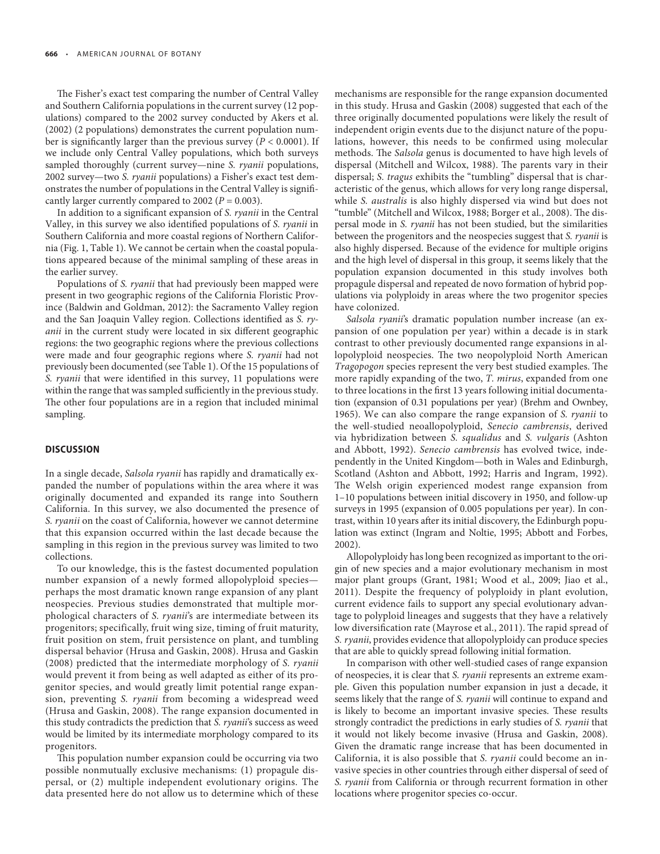The Fisher's exact test comparing the number of Central Valley and Southern California populations in the current survey (12 populations) compared to the 2002 survey conducted by Akers et al. (2002 ) (2 populations) demonstrates the current population number is significantly larger than the previous survey ( $P < 0.0001$ ). If we include only Central Valley populations, which both surveys sampled thoroughly (current survey—nine *S. ryanii* populations, 2002 survey—two *S. ryanii* populations) a Fisher's exact test demonstrates the number of populations in the Central Valley is significantly larger currently compared to 2002 ( $P = 0.003$ ).

In addition to a significant expansion of *S. ryanii* in the Central Valley, in this survey we also identified populations of *S. ryanii* in Southern California and more coastal regions of Northern California (Fig. 1, Table 1). We cannot be certain when the coastal populations appeared because of the minimal sampling of these areas in the earlier survey.

 Populations of *S. ryanii* that had previously been mapped were present in two geographic regions of the California Floristic Province (Baldwin and Goldman, 2012): the Sacramento Valley region and the San Joaquin Valley region. Collections identified as *S. ryanii* in the current study were located in six different geographic regions: the two geographic regions where the previous collections were made and four geographic regions where *S. ryanii* had not previously been documented (see Table 1). Of the 15 populations of *S. ryanii* that were identified in this survey, 11 populations were within the range that was sampled sufficiently in the previous study. The other four populations are in a region that included minimal sampling.

#### **DISCUSSION**

 In a single decade, *Salsola ryanii* has rapidly and dramatically expanded the number of populations within the area where it was originally documented and expanded its range into Southern California. In this survey, we also documented the presence of *S. ryanii* on the coast of California, however we cannot determine that this expansion occurred within the last decade because the sampling in this region in the previous survey was limited to two collections.

 To our knowledge, this is the fastest documented population number expansion of a newly formed allopolyploid species perhaps the most dramatic known range expansion of any plant neospecies. Previous studies demonstrated that multiple morphological characters of *S. ryanii*'s are intermediate between its progenitors; specifically, fruit wing size, timing of fruit maturity, fruit position on stem, fruit persistence on plant, and tumbling dispersal behavior ( Hrusa and Gaskin, 2008 ). Hrusa and Gaskin (2008) predicted that the intermediate morphology of *S. ryanii* would prevent it from being as well adapted as either of its progenitor species, and would greatly limit potential range expansion, preventing *S. ryanii* from becoming a widespread weed (Hrusa and Gaskin, 2008). The range expansion documented in this study contradicts the prediction that *S. ryanii*'s success as weed would be limited by its intermediate morphology compared to its progenitors.

This population number expansion could be occurring via two possible nonmutually exclusive mechanisms: (1) propagule dispersal, or (2) multiple independent evolutionary origins. The data presented here do not allow us to determine which of these mechanisms are responsible for the range expansion documented in this study. Hrusa and Gaskin (2008) suggested that each of the three originally documented populations were likely the result of independent origin events due to the disjunct nature of the populations, however, this needs to be confirmed using molecular methods. The *Salsola* genus is documented to have high levels of dispersal (Mitchell and Wilcox, 1988). The parents vary in their dispersal; *S. tragus* exhibits the "tumbling" dispersal that is characteristic of the genus, which allows for very long range dispersal, while *S. australis* is also highly dispersed via wind but does not "tumble" (Mitchell and Wilcox, 1988; Borger et al., 2008). The dispersal mode in *S. ryanii* has not been studied, but the similarities between the progenitors and the neospecies suggest that *S. ryanii* is also highly dispersed. Because of the evidence for multiple origins and the high level of dispersal in this group, it seems likely that the population expansion documented in this study involves both propagule dispersal and repeated de novo formation of hybrid populations via polyploidy in areas where the two progenitor species have colonized.

Salsola ryanii's dramatic population number increase (an expansion of one population per year) within a decade is in stark contrast to other previously documented range expansions in allopolyploid neospecies. The two neopolyploid North American *Tragopogon* species represent the very best studied examples. The more rapidly expanding of the two, *T. mirus* , expanded from one to three locations in the first 13 years following initial documentation (expansion of 0.31 populations per year) ( Brehm and Ownbey, 1965 ). We can also compare the range expansion of *S. ryanii* to the well-studied neoallopolyploid, *Senecio cambrensis* , derived via hybridization between *S. squalidus* and *S. vulgaris* ( Ashton and Abbott, 1992). *Senecio cambrensis* has evolved twice, independently in the United Kingdom—both in Wales and Edinburgh, Scotland (Ashton and Abbott, 1992; Harris and Ingram, 1992). The Welsh origin experienced modest range expansion from 1–10 populations between initial discovery in 1950, and follow-up surveys in 1995 (expansion of 0.005 populations per year). In contrast, within 10 years after its initial discovery, the Edinburgh population was extinct (Ingram and Noltie, 1995; Abbott and Forbes, 2002 ).

 Allopolyploidy has long been recognized as important to the origin of new species and a major evolutionary mechanism in most major plant groups (Grant, 1981; Wood et al., 2009; Jiao et al., 2011). Despite the frequency of polyploidy in plant evolution, current evidence fails to support any special evolutionary advantage to polyploid lineages and suggests that they have a relatively low diversification rate (Mayrose et al., 2011). The rapid spread of *S. ryanii* , provides evidence that allopolyploidy can produce species that are able to quickly spread following initial formation.

 In comparison with other well-studied cases of range expansion of neospecies, it is clear that *S. ryanii* represents an extreme example. Given this population number expansion in just a decade, it seems likely that the range of *S. ryanii* will continue to expand and is likely to become an important invasive species. These results strongly contradict the predictions in early studies of *S. ryanii* that it would not likely become invasive (Hrusa and Gaskin, 2008). Given the dramatic range increase that has been documented in California, it is also possible that *S. ryanii* could become an invasive species in other countries through either dispersal of seed of *S. ryanii* from California or through recurrent formation in other locations where progenitor species co-occur.